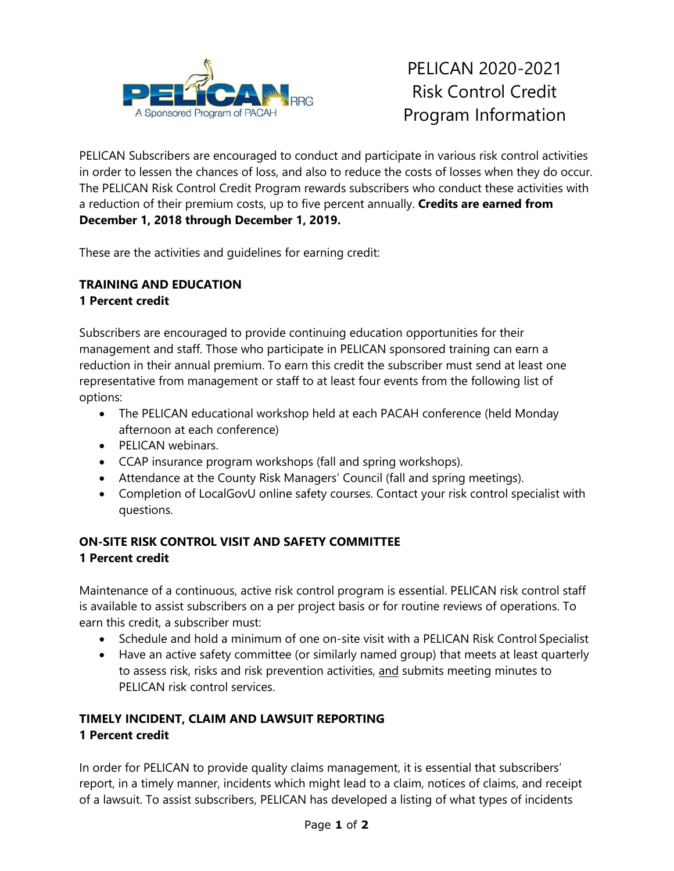

PELICAN Subscribers are encouraged to conduct and participate in various risk control activities in order to lessen the chances of loss, and also to reduce the costs of losses when they do occur. The PELICAN Risk Control Credit Program rewards subscribers who conduct these activities with a reduction of their premium costs, up to five percent annually. **Credits are earned from December 1, 2018 through December 1, 2019.**

These are the activities and guidelines for earning credit:

# **TRAINING AND EDUCATION**

## **1 Percent credit**

Subscribers are encouraged to provide continuing education opportunities for their management and staff. Those who participate in PELICAN sponsored training can earn a reduction in their annual premium. To earn this credit the subscriber must send at least one representative from management or staff to at least four events from the following list of options:

- The PELICAN educational workshop held at each PACAH conference (held Monday afternoon at each conference)
- PELICAN webinars
- CCAP insurance program workshops (fall and spring workshops).
- Attendance at the County Risk Managers' Council (fall and spring meetings).
- Completion of LocalGovU online safety courses. Contact your risk control specialist with questions.

# **ON-SITE RISK CONTROL VISIT AND SAFETY COMMITTEE 1 Percent credit**

Maintenance of a continuous, active risk control program is essential. PELICAN risk control staff is available to assist subscribers on a per project basis or for routine reviews of operations. To earn this credit, a subscriber must:

- Schedule and hold a minimum of one on-site visit with a PELICAN Risk Control Specialist
- Have an active safety committee (or similarly named group) that meets at least quarterly to assess risk, risks and risk prevention activities, and submits meeting minutes to PELICAN risk control services.

# **TIMELY INCIDENT, CLAIM AND LAWSUIT REPORTING 1 Percent credit**

In order for PELICAN to provide quality claims management, it is essential that subscribers' report, in a timely manner, incidents which might lead to a claim, notices of claims, and receipt of a lawsuit. To assist subscribers, PELICAN has developed a listing of what types of incidents